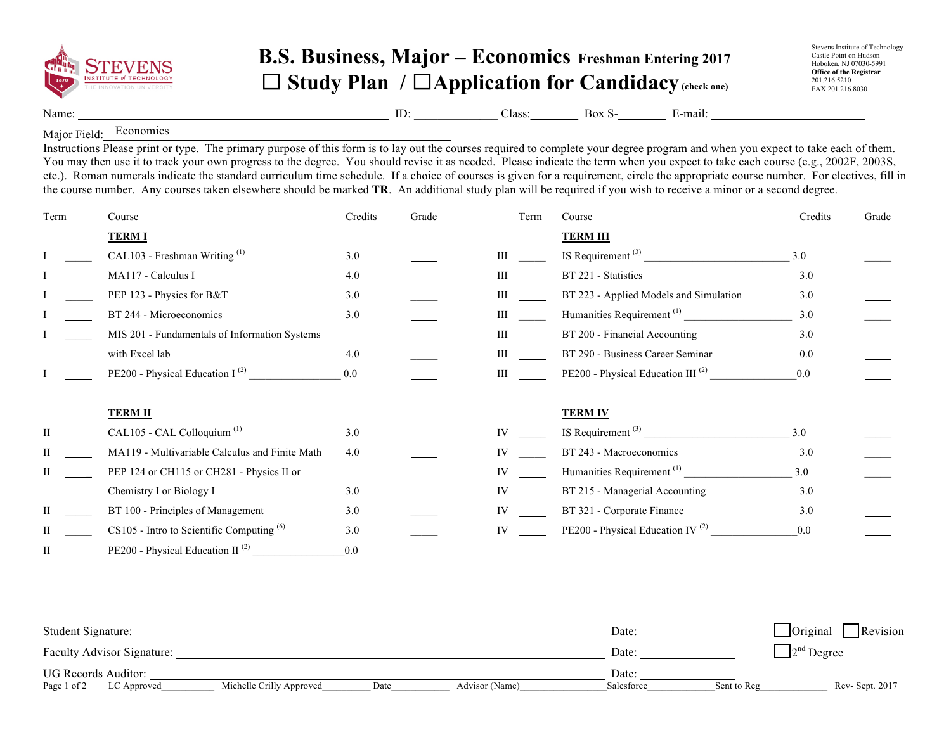

## **B.S. Business, Major – Economics Freshman Entering 2017** ☐ **Study Plan /** ☐**Application for Candidacy(check one)**

Name: ID: Class: Box S- E-mail:

Major Field: Economics

Instructions Please print or type. The primary purpose of this form is to lay out the courses required to complete your degree program and when you expect to take each of them. You may then use it to track your own progress to the degree. You should revise it as needed. Please indicate the term when you expect to take each course (e.g., 2002F, 2003S, etc.). Roman numerals indicate the standard curriculum time schedule. If a choice of courses is given for a requirement, circle the appropriate course number. For electives, fill in the course number. Any courses taken elsewhere should be marked **TR**. An additional study plan will be required if you wish to receive a minor or a second degree.

| Term | Course                                         | Credits | Grade | Term | Course                                        | Credits | Grade |
|------|------------------------------------------------|---------|-------|------|-----------------------------------------------|---------|-------|
|      | <b>TERMI</b>                                   |         |       |      | <b>TERM III</b>                               |         |       |
|      | CAL103 - Freshman Writing <sup>(1)</sup>       | 3.0     |       | III  | IS Requirement $(3)$                          | 3.0     |       |
|      | MA117 - Calculus I                             | 4.0     |       | Ш    | BT 221 - Statistics                           | 3.0     |       |
|      | PEP 123 - Physics for B&T                      | 3.0     |       |      | BT 223 - Applied Models and Simulation        | 3.0     |       |
|      | BT 244 - Microeconomics                        | 3.0     |       | Ш    | Humanities Requirement <sup>(1)</sup>         | 3.0     |       |
|      | MIS 201 - Fundamentals of Information Systems  |         |       | Ш    | BT 200 - Financial Accounting                 | 3.0     |       |
|      | with Excel lab                                 | 4.0     |       | Ш    | BT 290 - Business Career Seminar              | 0.0     |       |
|      | PE200 - Physical Education I $^{(2)}$          | 0.0     |       | III  | PE200 - Physical Education III <sup>(2)</sup> | 0.0     |       |
|      | <b>TERM II</b>                                 |         |       |      | <b>TERM IV</b>                                |         |       |
|      | CAL105 - CAL Colloquium <sup>(1)</sup>         | 3.0     |       | IV   | IS Requirement <sup>(3)</sup>                 | 3.0     |       |
|      | MA119 - Multivariable Calculus and Finite Math | 4.0     |       | IV   | BT 243 - Macroeconomics                       | 3.0     |       |
| П    | PEP 124 or CH115 or CH281 - Physics II or      |         |       | IV   | Humanities Requirement <sup>(1)</sup>         | 3.0     |       |
|      | Chemistry I or Biology I                       | 3.0     |       |      | BT 215 - Managerial Accounting                | 3.0     |       |
| Н    | BT 100 - Principles of Management              | 3.0     |       |      | BT 321 - Corporate Finance                    | 3.0     |       |
|      | $CS105$ - Intro to Scientific Computing $(6)$  | 3.0     |       | IV   | PE200 - Physical Education IV <sup>(2)</sup>  | 0.0     |       |
| H    | PE200 - Physical Education II <sup>(2)</sup>   | 0.0     |       |      |                                               |         |       |

| Student Signature:         |                          |      |                | Date <sup>.</sup> |             | Original<br>Revision |
|----------------------------|--------------------------|------|----------------|-------------------|-------------|----------------------|
| Faculty Advisor Signature: |                          |      |                | Date:             |             | $2nd$ Degree         |
| UG Records Auditor:        |                          |      |                | Date:             |             |                      |
| Page 1 of 2<br>LC Approved | Michelle Crilly Approved | Date | Advisor (Name) | Salesforce        | Sent to Reg | Rev-Sept. 2017       |